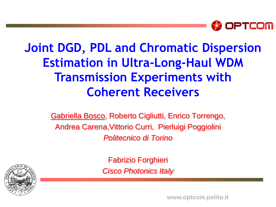

#### **Joint DGD, PDL and Chromatic Dispersion Estimation in Ultra-Long-Haul WDM Transmission Experiments with Coherent Receivers**

Gabriella Bosco, Roberto Cigliutti, Enrico Torrengo, Andrea Carena,Vittorio Curri, Pierluigi Poggiolini *Politecnico di Torino*

> Fabrizio Forghieri *Cisco Photonics Italy*



**FOTONICA 2010 – Paper A2.3 www.optcom.polito.it**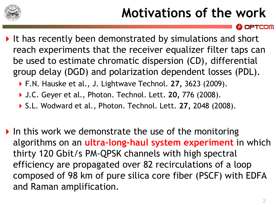

# **Motivations of the work**

- It has recently been demonstrated by simulations and short reach experiments that the receiver equalizer filter taps can be used to estimate chromatic dispersion (CD), differential group delay (DGD) and polarization dependent losses (PDL).
	- F.N. Hauske et al., J. Lightwave Technol. **27,** 3623 (2009).
	- J.C. Geyer et al., Photon. Technol. Lett. **20,** 776 (2008).
	- S.L. Wodward et al., Photon. Technol. Lett. **27,** 2048 (2008).
- In this work we demonstrate the use of the monitoring algorithms on an **ultra-long-haul system experiment** in which thirty 120 Gbit/s PM-QPSK channels with high spectral efficiency are propagated over 82 recirculations of a loop composed of 98 km of pure silica core fiber (PSCF) with EDFA and Raman amplification.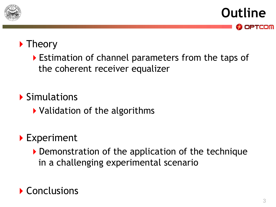

**Outline** OPTCOM

#### $\blacktriangleright$  Theory

Estimation of channel parameters from the taps of the coherent receiver equalizer

#### ▶ Simulations

Validation of the algorithms

#### ▶ Experiment

Demonstration of the application of the technique in a challenging experimental scenario

#### Conclusions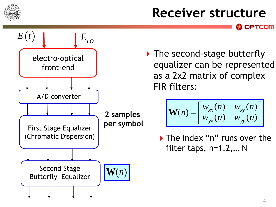

### **Receiver structure**



▶ The second-stage butterfly equalizer can be represented as a 2x2 matrix of complex FIR filters:

$$
\mathbf{W}(n) = \begin{bmatrix} w_{xx}(n) & w_{xy}(n) \\ w_{yx}(n) & w_{yy}(n) \end{bmatrix}
$$

The index "n" runs over the filter taps, n=1,2,… N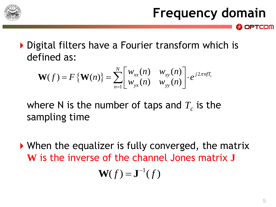

▶ Digital filters have a Fourier transform which is defined as:<br>  $\mathbf{W}(f) = F\{\mathbf{W}(n)\} = \sum_{n=1}^{N} \begin{bmatrix} w_{xx}(n) & w_{xy}(n) \ w_{yx}(n) & w_{yy}(n) \end{bmatrix} \cdot e^{j2\pi n f T_c}$ defined as:

$$
\text{Find as:} \quad \mathbf{W}(f) = F\{\mathbf{W}(n)\} = \sum_{n=1}^{N} \begin{bmatrix} w_{xx}(n) & w_{xy}(n) \\ w_{yx}(n) & w_{yy}(n) \end{bmatrix} \cdot e^{j2\pi n f T_c}
$$

where N is the number of taps and  $T_c$  is the sampling time

▶ When the equalizer is fully converged, the matrix **W** is the inverse of the channel Jones matrix **J**

$$
\mathbf{W}(f) = \mathbf{J}^{-1}(f)
$$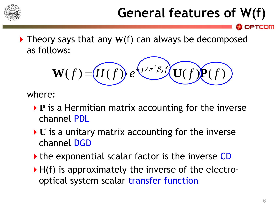

# **General features of W(f)**

▶ Theory says that any W(f) can always be decomposed as follows:

 $\mathbf{W}(f) = \underbrace{H(f)}\cdot e^{\sqrt{2\pi^2\beta_2 f}}\underbrace{\mathbf{U}(f)}$ <br>ere:<br>P is a Hermitian matrix accounting for<br>channel PDL<br>U is a unitary matrix accounting for th<br>channel DGD<br>the exponential scalar factor is the inv<br>H(f) is approximately th  $2\pi^2\beta_2$  $W(f) = (H(f)) \cdot e^{\frac{\left( j 2 \pi^2 \beta_2 f \right)}{2 \pi^2 \beta_2 f}} U(f) P(f)$ 

where:

- **P** is a Hermitian matrix accounting for the inverse channel PDL
- ▶ **U** is a unitary matrix accounting for the inverse channel DGD
- If the exponential scalar factor is the inverse CD
- $\blacktriangleright$  H(f) is approximately the inverse of the electro-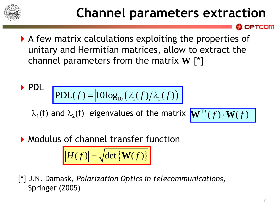

### **Channel parameters extraction**

A few matrix calculations exploiting the properties of unitary and Hermitian matrices, allow to extract the channel parameters from the matrix **W** [\*]

$$
\text{PDL} \quad \boxed{\text{PDL}(f) = |10\log_{10}\left(\lambda_1(f)/\lambda_2(f)\right)|}
$$

 $\lambda_1$ (f) and  $\lambda_2$ (f) eigenvalues of the matrix  $\boxed{\mathbf{W}^{\text{T*}}(f)\cdot\mathbf{W}(f)}$ 

$$
\overline{\mathbf{W}^{\mathrm{T}*}(f) \cdot \mathbf{W}(f)}
$$

**Modulus of channel transfer function** 

$$
|H(f)| = \sqrt{\det\{\mathbf{W}(f)\}}
$$

[\*] J.N. Damask, *Polarization Optics in telecommunications,*  Springer (2005)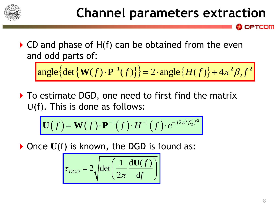

 $\triangleright$  CD and phase of H(f) can be obtained from the even and odd parts of: and phase of  $\pi(f)$  can be obtained from the even<br>d odd parts of:<br>angle  $\left\{ \det \left\{ \mathbf{W}(f) \cdot \mathbf{P}^{-1}(f) \right\} \right\} = 2 \cdot \text{angle} \left\{ H(f) \right\} + 4\pi^2 \beta_2 f^2$ 

nd odd parts of:  
angle{
$$
\{det{W(f) \cdot P^{-1}(f)}\} = 2 \cdot angle{H(f)} + 4\pi^2 \beta_2 f^2
$$

▶ To estimate DGD, one need to first find the matrix **U**(f). This is done as follows: mgle {det { $\mathbf{W}(f) \cdot \mathbf{P}^{-1}(f)$ }} = 2  $\cdot$  angle { $H(f)$ }<br>estimate DGD, one need to first find the i<br>i. This is done as follows:<br> $\mathbf{U}(f) = \mathbf{W}(f) \cdot \mathbf{P}^{-1}(f) \cdot H^{-1}(f) \cdot e^{-j2\pi^2 \beta_2 f^2}$ 

$$
J. \quad \text{This is quite as follows:} \\ \boxed{\mathbf{U}(f) = \mathbf{W}(f) \cdot \mathbf{P}^{-1}(f) \cdot H^{-1}(f) \cdot e^{-j2\pi^2 \beta_2 f^2}}
$$

▶ Once U(f) is known, the DGD is found as:

$$
\tau_{DGD} = 2 \sqrt{\det \left( \frac{1}{2\pi} \frac{dU(f)}{df} \right)}
$$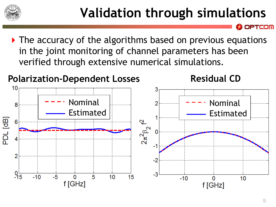

▶ The accuracy of the algorithms based on previous equations in the joint monitoring of channel parameters has been verified through extensive numerical simulations.

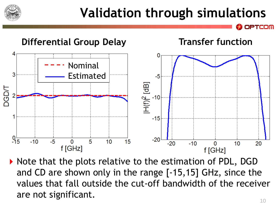

# **Validation through simulations**



 $\triangleright$  Note that the plots relative to the estimation of PDL, DGD and CD are shown only in the range [-15,15] GHz, since the values that fall outside the cut-off bandwidth of the receiver are not significant.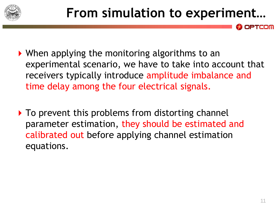

- When applying the monitoring algorithms to an experimental scenario, we have to take into account that receivers typically introduce amplitude imbalance and time delay among the four electrical signals.
- $\triangleright$  To prevent this problems from distorting channel parameter estimation, they should be estimated and calibrated out before applying channel estimation equations.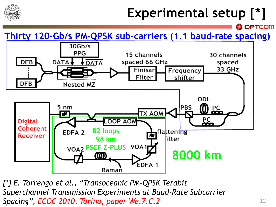

# **Experimental setup [\*]**

**Thirty 120-Gb/s PM-QPSK sub-carriers (1.1 baud-rate spacing)**



*[\*] E. Torrengo et al., "Transoceanic PM-QPSK Terabit Superchannel Transmission Experiments at Baud-Rate Subcarrier Spacing", ECOC 2010, Torino, paper We.7.C.2*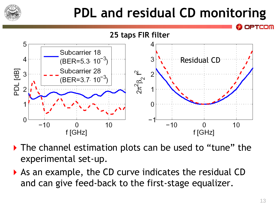

# **PDL and residual CD monitoring**



- ▶ The channel estimation plots can be used to "tune" the experimental set-up.
- As an example, the CD curve indicates the residual CD and can give feed-back to the first-stage equalizer.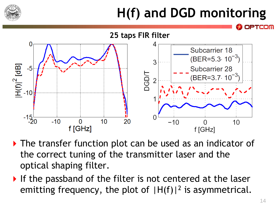

# **H(f) and DGD monitoring**



- ▶ The transfer function plot can be used as an indicator of the correct tuning of the transmitter laser and the optical shaping filter.
- If the passband of the filter is not centered at the laser emitting frequency, the plot of  $|H(f)|^2$  is asymmetrical.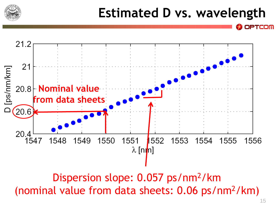

### **Estimated D vs. wavelength**

21.2  $21$ [ps/nm/km] 20.8 **Nominal value from data sheets** $[20.6]$ 20.4 1547 1548 1549 1550 1551 1552 1553 1554 1555 1556  $\lambda$  [nrm]

Dispersion slope: 0.057 ps/nm<sup>2</sup>/km (nominal value from data sheets: 0.06 ps/nm<sup>2</sup>/km)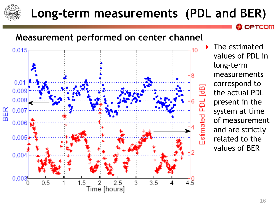

#### **Long-term measurements (PDL and BER)**



 The estimated values of PDL in long-term measurements correspond to the actual PDL present in the system at time of measurement and are strictly related to the values of BER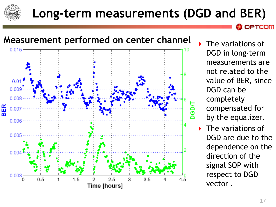

#### **Long-term measurements (DGD and BER)**



DGD in long-term measurements are not related to the value of BER, since DGD can be completely compensated for by the equalizer.

PTCOM

 The variations of DGD are due to the dependence on the direction of the signal SOP with respect to DGD vector .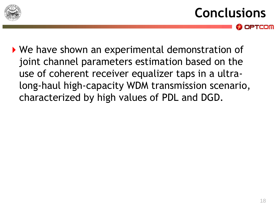

- **Conclusions** OPTCOM
- ▶ We have shown an experimental demonstration of joint channel parameters estimation based on the use of coherent receiver equalizer taps in a ultralong-haul high-capacity WDM transmission scenario, characterized by high values of PDL and DGD.